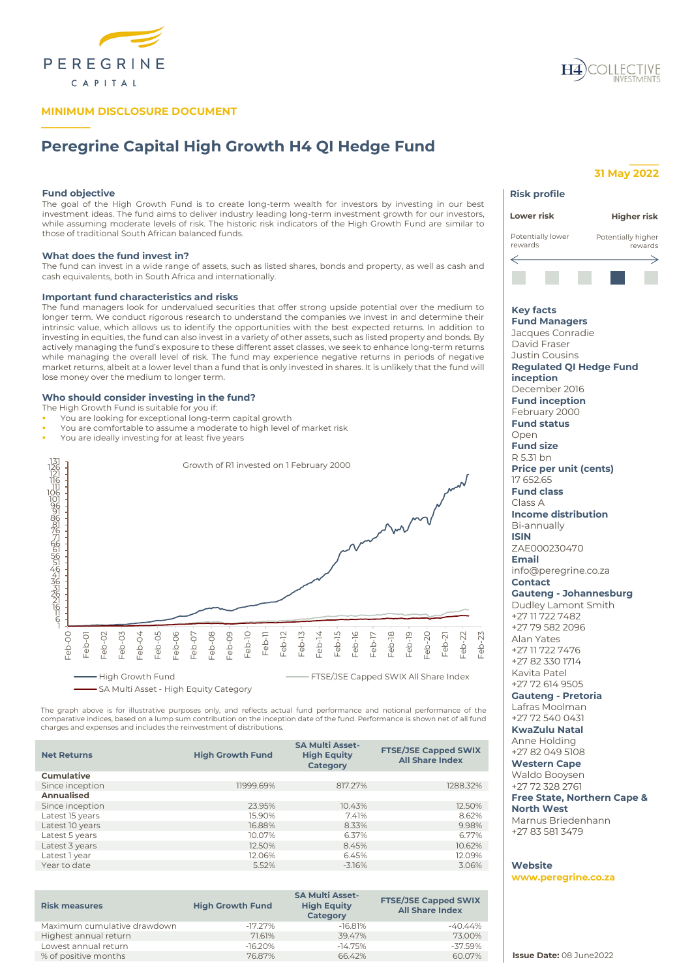

# **MINIMUM DISCLOSURE DOCUMENT**

# **Peregrine Capital High Growth H4 QI Hedge Fund**

# **Fund objective**

**\_\_\_\_\_\_\_\_\_\_**

The goal of the High Growth Fund is to create long-term wealth for investors by investing in our best investment ideas. The fund aims to deliver industry leading long-term investment growth for our investors, while assuming moderate levels of risk. The historic risk indicators of the High Growth Fund are similar to those of traditional South African balanced funds.

## **What does the fund invest in?**

The fund can invest in a wide range of assets, such as listed shares, bonds and property, as well as cash and cash equivalents, both in South Africa and internationally.

# **Important fund characteristics and risks**

The fund managers look for undervalued securities that offer strong upside potential over the medium to longer term. We conduct rigorous research to understand the companies we invest in and determine their intrinsic value, which allows us to identify the opportunities with the best expected returns. In addition to investing in equities, the fund can also invest in a variety of other assets, such as listed property and bonds. By actively managing the fund's exposure to these different asset classes, we seek to enhance long-term returns while managing the overall level of risk. The fund may experience negative returns in periods of negative market returns, albeit at a lower level than a fund that is only invested in shares. It is unlikely that the fund will lose money over the medium to longer term.

# **Who should consider investing in the fund?**

The High Growth Fund is suitable for you if:

- You are looking for exceptional long-term capital growth
- You are comfortable to assume a moderate to high level of market risk
- You are ideally investing for at least five years



The graph above is for illustrative purposes only, and reflects actual fund performance and notional performance of the<br>comparative indices, based on a lump sum contribution on the inception date of the fund. Performance i charges and expenses and includes the reinvestment of distributions.

| <b>Net Returns</b> | <b>High Growth Fund</b> | <b>SA Multi Asset-</b><br><b>High Equity</b><br><b>Category</b> | <b>FTSE/JSE Capped SWIX</b><br><b>All Share Index</b> |
|--------------------|-------------------------|-----------------------------------------------------------------|-------------------------------------------------------|
| Cumulative         |                         |                                                                 |                                                       |
| Since inception    | 11999.69%               | 817.27%                                                         | 1288.32%                                              |
| Annualised         |                         |                                                                 |                                                       |
| Since inception    | 23.95%                  | 10.43%                                                          | 12.50%                                                |
| Latest 15 years    | 15.90%                  | 7.41%                                                           | 8.62%                                                 |
| Latest 10 years    | 16.88%                  | 8.33%                                                           | 9.98%                                                 |
| Latest 5 years     | 10.07%                  | 6.37%                                                           | 6.77%                                                 |
| Latest 3 years     | 12.50%                  | 8.45%                                                           | 10.62%                                                |
| Latest 1 year      | 12.06%                  | 6.45%                                                           | 12.09%                                                |
| Year to date       | 5.52%                   | $-3.16%$                                                        | 3.06%                                                 |

| <b>Risk measures</b>        | <b>High Growth Fund</b> | <b>SA Multi Asset-</b><br><b>High Equity</b><br>Category | <b>FTSE/JSE Capped SWIX</b><br><b>All Share Index</b> |
|-----------------------------|-------------------------|----------------------------------------------------------|-------------------------------------------------------|
| Maximum cumulative drawdown | $-17.27\%$              | $-16.81%$                                                | -40.44%                                               |
| Highest annual return       | 71.61%                  | 39.47%                                                   | 73.00%                                                |
| Lowest annual return        | $-16.20%$               | $-14.75%$                                                | $-37.59%$                                             |
| % of positive months        | 76.87%                  | 66.42%                                                   | 60.07%                                                |

# **\_\_\_\_\_\_ 31 May 2022**

# **Risk profile Lower risk Higher risk**Potentially lower Potentially higher rewards rewards ⇐ **Key facts Fund Managers** Jacques Conradie David Fraser Justin Cousins **Regulated QI Hedge Fund inception** December 2016 **Fund inception** February 2000 **Fund status** Open **Fund size** R 5.31 bn **Price per unit (cents)** 17 652.65 **Fund class** Class A **Income distribution** Bi-annually **ISIN** ZAE000230470 **Email** info@peregrine.co.za **Contact Gauteng - Johannesburg** Dudley Lamont Smith +27 11 722 7482 +27 79 582 2096 Alan Yates +27 11 722 7476 +27 82 330 1714 Kavita Patel +27 72 614 9505 **Gauteng - Pretoria** Lafras Moolman +27 72 540 0431 **KwaZulu Natal** Anne Holding +27 82 049 5108 **Western Cape** Waldo Booysen +27 72 328 2761 **Free State, Northern Cape & North West** Marnus Briedenhann +27 83 581 3479 **Website www.peregrine.co.za**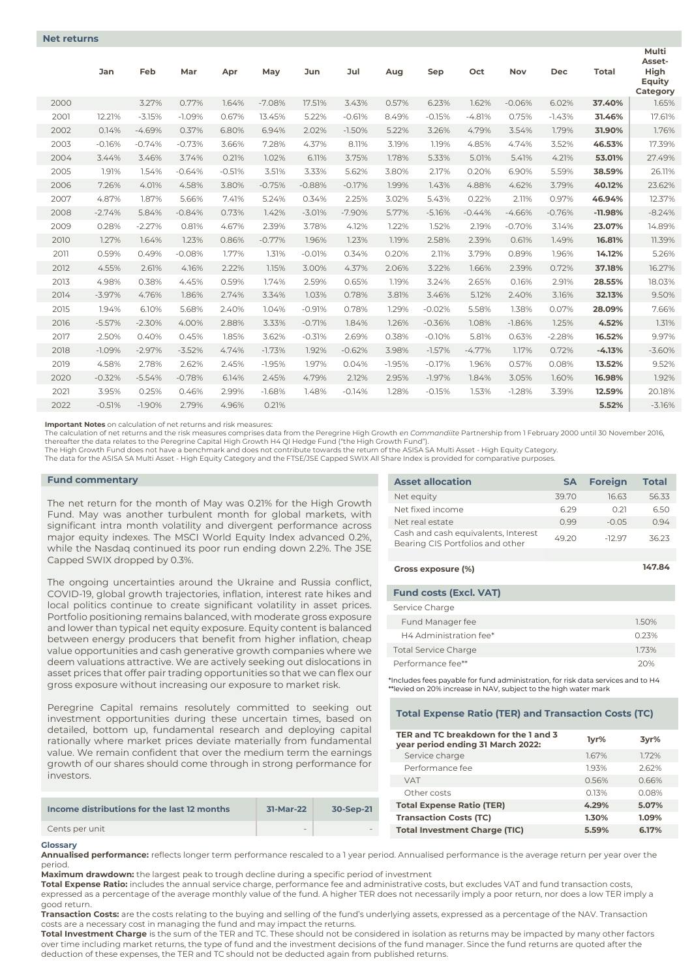|      | Jan      | Feb      | Mar      | Apr      | May      | <b>Jun</b> | Jul      | Aug      | Sep      | Oct      | <b>Nov</b> | <b>Dec</b> | <b>Total</b> | Multi<br>Asset-<br>High<br>Equity<br>Category |
|------|----------|----------|----------|----------|----------|------------|----------|----------|----------|----------|------------|------------|--------------|-----------------------------------------------|
| 2000 |          | 3.27%    | 0.77%    | 1.64%    | $-7.08%$ | 17.51%     | 3.43%    | 0.57%    | 6.23%    | 1.62%    | $-0.06%$   | 6.02%      | 37.40%       | 1.65%                                         |
| 2001 | 12.21%   | $-3.15%$ | $-1.09%$ | 0.67%    | 13.45%   | 5.22%      | $-0.61%$ | 8.49%    | $-0.15%$ | $-4.81%$ | 0.75%      | $-1.43%$   | 31.46%       | 17.61%                                        |
| 2002 | 0.14%    | $-4.69%$ | 0.37%    | 6.80%    | 6.94%    | 2.02%      | $-1.50%$ | 5.22%    | 3.26%    | 4.79%    | 3.54%      | 1.79%      | 31.90%       | 1.76%                                         |
| 2003 | $-0.16%$ | $-0.74%$ | $-0.73%$ | 3.66%    | 7.28%    | 4.37%      | 8.11%    | 3.19%    | 1.19%    | 4.85%    | 4.74%      | 3.52%      | 46.53%       | 17.39%                                        |
| 2004 | 3.44%    | 3.46%    | 3.74%    | 0.21%    | 1.02%    | 6.11%      | 3.75%    | 1.78%    | 5.33%    | 5.01%    | 5.41%      | 4.21%      | 53.01%       | 27.49%                                        |
| 2005 | 1.91%    | 1.54%    | $-0.64%$ | $-0.51%$ | 3.51%    | 3.33%      | 5.62%    | 3.80%    | 2.17%    | 0.20%    | 6.90%      | 5.59%      | 38.59%       | 26.11%                                        |
| 2006 | 7.26%    | 4.01%    | 4.58%    | 3.80%    | $-0.75%$ | $-0.88%$   | $-0.17%$ | 1.99%    | 1.43%    | 4.88%    | 4.62%      | 3.79%      | 40.12%       | 23.62%                                        |
| 2007 | 4.87%    | 1.87%    | 5.66%    | 7.41%    | 5.24%    | 0.34%      | 2.25%    | 3.02%    | 5.43%    | 0.22%    | 2.11%      | 0.97%      | 46.94%       | 12.37%                                        |
| 2008 | $-2.74%$ | 5.84%    | $-0.84%$ | 0.73%    | 1.42%    | $-3.01%$   | $-7.90%$ | 5.77%    | $-5.16%$ | $-0.44%$ | $-4.66%$   | $-0.76%$   | $-11.98%$    | $-8.24%$                                      |
| 2009 | 0.28%    | $-2.27%$ | 0.81%    | 4.67%    | 2.39%    | 3.78%      | 4.12%    | 1.22%    | 1.52%    | 2.19%    | $-0.70%$   | 3.14%      | 23.07%       | 14.89%                                        |
| 2010 | 1.27%    | 1.64%    | 1.23%    | 0.86%    | $-0.77%$ | 1.96%      | 1.23%    | 1.19%    | 2.58%    | 2.39%    | 0.61%      | 1.49%      | 16.81%       | 11.39%                                        |
| 2011 | 0.59%    | 0.49%    | $-0.08%$ | 1.77%    | 1.31%    | $-0.01%$   | 0.34%    | 0.20%    | 2.11%    | 3.79%    | 0.89%      | 1.96%      | 14.12%       | 5.26%                                         |
| 2012 | 4.55%    | 2.61%    | 4.16%    | 2.22%    | 1.15%    | 3.00%      | 4.37%    | 2.06%    | 3.22%    | 1.66%    | 2.39%      | 0.72%      | 37.18%       | 16.27%                                        |
| 2013 | 4.98%    | 0.38%    | 4.45%    | 0.59%    | 1.74%    | 2.59%      | 0.65%    | 1.19%    | 3.24%    | 2.65%    | 0.16%      | 2.91%      | 28.55%       | 18.03%                                        |
| 2014 | $-3.97%$ | 4.76%    | 1.86%    | 2.74%    | 3.34%    | 1.03%      | 0.78%    | 3.81%    | 3.46%    | 5.12%    | 2.40%      | 3.16%      | 32.13%       | 9.50%                                         |
| 2015 | 1.94%    | 6.10%    | 5.68%    | 2.40%    | 1.04%    | $-0.91%$   | 0.78%    | 1.29%    | $-0.02%$ | 5.58%    | 1.38%      | 0.07%      | 28.09%       | 7.66%                                         |
| 2016 | $-5.57%$ | $-2.30%$ | 4.00%    | 2.88%    | 3.33%    | $-0.71%$   | 1.84%    | 1.26%    | $-0.36%$ | 1.08%    | $-1.86%$   | 1.25%      | 4.52%        | 1.31%                                         |
| 2017 | 2.50%    | 0.40%    | 0.45%    | 1.85%    | 3.62%    | $-0.31%$   | 2.69%    | 0.38%    | $-0.10%$ | 5.81%    | 0.63%      | $-2.28%$   | 16.52%       | 9.97%                                         |
| 2018 | $-1.09%$ | $-2.97%$ | $-3.52%$ | 4.74%    | $-1.73%$ | 1.92%      | $-0.62%$ | 3.98%    | $-1.57%$ | $-4.77%$ | 1.17%      | 0.72%      | $-4.13%$     | $-3.60%$                                      |
| 2019 | 4.58%    | 2.78%    | 2.62%    | 2.45%    | $-1.95%$ | 1.97%      | 0.04%    | $-1.95%$ | $-0.17%$ | 1.96%    | 0.57%      | 0.08%      | 13.52%       | 9.52%                                         |
| 2020 | $-0.32%$ | $-5.54%$ | $-0.78%$ | 6.14%    | 2.45%    | 4.79%      | 2.12%    | 2.95%    | $-1.97%$ | 1.84%    | 3.05%      | 1.60%      | 16.98%       | 1.92%                                         |
| 2021 | 3.95%    | 0.25%    | 0.46%    | 2.99%    | $-1.68%$ | 1.48%      | $-0.14%$ | 1.28%    | $-0.15%$ | 1.53%    | $-1.28%$   | 3.39%      | 12.59%       | 20.18%                                        |
| 2022 | $-0.51%$ | $-1.90%$ | 2.79%    | 4.96%    | 0.21%    |            |          |          |          |          |            |            | 5.52%        | $-3.16%$                                      |

**Important Notes** on calculation of net returns and risk measures:

The calculation of net returns and the risk measures comprises data from the Peregrine High Growth *en Commandiite* Partnership from 1 February 2000 until 30 November 2016,<br>thereafter the data relates to the Peregrine Capi

The High Growth Fund does not have a benchmark and does not contribute towards the return of the ASISA SA Multi Asset - High Equity Category.

The data for the ASISA SA Multi Asset - High Equity Category and the FTSE/JSE Capped SWIX All Share Index is provided for comparative purposes.

# **Fund commentary**

The net return for the month of May was 0.21% for the High Growth Fund. May was another turbulent month for global markets, with significant intra month volatility and divergent performance across major equity indexes. The MSCI World Equity Index advanced 0.2%, while the Nasdaq continued its poor run ending down 2.2%. The JSE Capped SWIX dropped by 0.3%.

The ongoing uncertainties around the Ukraine and Russia conflict, COVID-19, global growth trajectories, inflation, interest rate hikes and local politics continue to create significant volatility in asset prices. Portfolio positioning remains balanced, with moderate gross exposure and lower than typical net equity exposure. Equity content is balanced between energy producers that benefit from higher inflation, cheap value opportunities and cash generative growth companies where we deem valuations attractive. We are actively seeking out dislocations in asset prices that offer pair trading opportunities so that we can flex our gross exposure without increasing our exposure to market risk.

Peregrine Capital remains resolutely committed to seeking out investment opportunities during these uncertain times, based on detailed, bottom up, fundamental research and deploying capital rationally where market prices deviate materially from fundamental value. We remain confident that over the medium term the earnings growth of our shares should come through in strong performance for investors.

| Income distributions for the last 12 months | 31-Mar-22 | 30-Sep-21 |
|---------------------------------------------|-----------|-----------|
| Cents per unit                              |           |           |

#### **Glossary**

**Annualised performance:** reflects longer term performance rescaled to a 1 year period. Annualised performance is the average return per year over the period.

**Maximum drawdown:** the largest peak to trough decline during a specific period of investment

**Total Expense Ratio:** includes the annual service charge, performance fee and administrative costs, but excludes VAT and fund transaction costs, expressed as a percentage of the average monthly value of the fund. A higher TER does not necessarily imply a poor return, nor does a low TER imply a good return.

**Transaction Costs:** are the costs relating to the buying and selling of the fund's underlying assets, expressed as a percentage of the NAV. Transaction costs are a necessary cost in managing the fund and may impact the returns.

**Total Investment Charge** is the sum of the TER and TC. These should not be considered in isolation as returns may be impacted by many other factors over time including market returns, the type of fund and the investment decisions of the fund manager. Since the fund returns are quoted after the deduction of these expenses, the TER and TC should not be deducted again from published returns.

| <b>Asset allocation</b>                                                 | <b>SA</b> | <b>Foreign</b> | <b>Total</b> |
|-------------------------------------------------------------------------|-----------|----------------|--------------|
| Net equity                                                              | 3970      | 16 63          | 56.33        |
| Net fixed income                                                        | 629       | 0.21           | 6.50         |
| Net real estate                                                         | O 99      | $-0.05$        | 0.94         |
| Cash and cash equivalents, Interest<br>Bearing CIS Portfolios and other | 49.20     | $-1297$        | 3623         |
|                                                                         |           |                |              |

| Gross exposure (%)            | 147.84 |
|-------------------------------|--------|
| <b>Fund costs (Excl. VAT)</b> |        |

| Service Charge              |       |
|-----------------------------|-------|
| Fund Manager fee            | 1.50% |
| H4 Administration fee*      | 0.23% |
| <b>Total Service Charge</b> | 173%  |
| Performance fee**           | 20%   |

\*Includes fees payable for fund administration, for risk data services and to H4 \*\*levied on 20% increase in NAV, subject to the high water mark

## **Total Expense Ratio (TER) and Transaction Costs (TC)**

| TER and TC breakdown for the 1 and 3<br>year period ending 31 March 2022: | 1yr%  | 3vr%  |
|---------------------------------------------------------------------------|-------|-------|
| Service charge                                                            | 1.67% | 1.72% |
| Performance fee                                                           | 1.93% | 2.62% |
| <b>VAT</b>                                                                | 0.56% | 0.66% |
| Other costs                                                               | 013%  | 0.08% |
| <b>Total Expense Ratio (TER)</b>                                          | 4.29% | 5.07% |
| <b>Transaction Costs (TC)</b>                                             | 1.30% | 1.09% |
| <b>Total Investment Charge (TIC)</b>                                      | 5.59% | 6.17% |